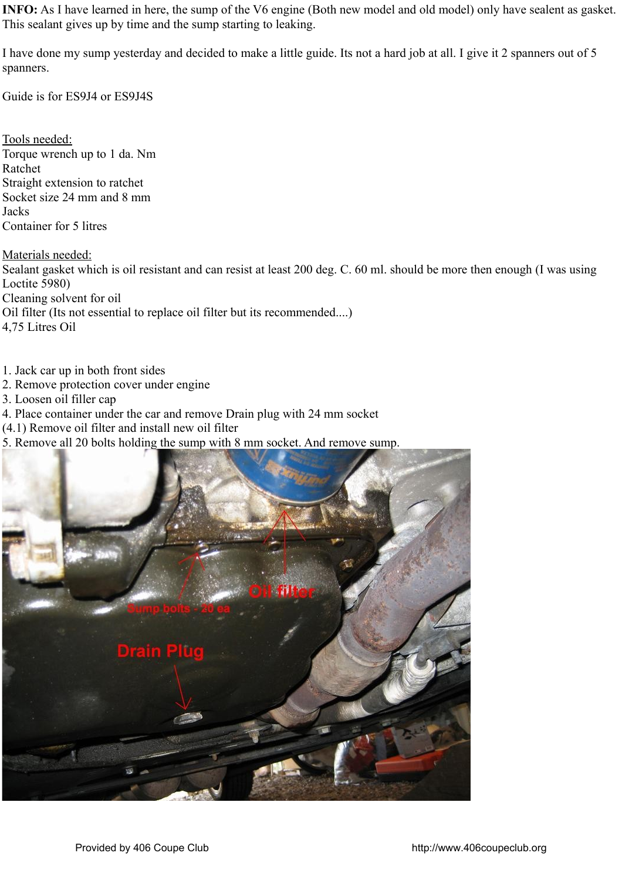**INFO:** As I have learned in here, the sump of the V6 engine (Both new model and old model) only have sealent as gasket. This sealant gives up by time and the sump starting to leaking.

I have done my sump yesterday and decided to make a little guide. Its not a hard job at all. I give it 2 spanners out of 5 spanners.

Guide is for ES9J4 or ES9J4S

Tools needed: Torque wrench up to 1 da. Nm Ratchet Straight extension to ratchet Socket size 24 mm and 8 mm **Jacks** Container for 5 litres

Materials needed: Sealant gasket which is oil resistant and can resist at least 200 deg. C. 60 ml. should be more then enough (I was using Loctite 5980) Cleaning solvent for oil Oil filter (Its not essential to replace oil filter but its recommended....) 4,75 Litres Oil

- 1. Jack car up in both front sides
- 2. Remove protection cover under engine
- 3. Loosen oil filler cap
- 4. Place container under the car and remove Drain plug with 24 mm socket
- (4.1) Remove oil filter and install new oil filter
- 5. Remove all 20 bolts holding the sump with 8 mm socket. And remove sump.

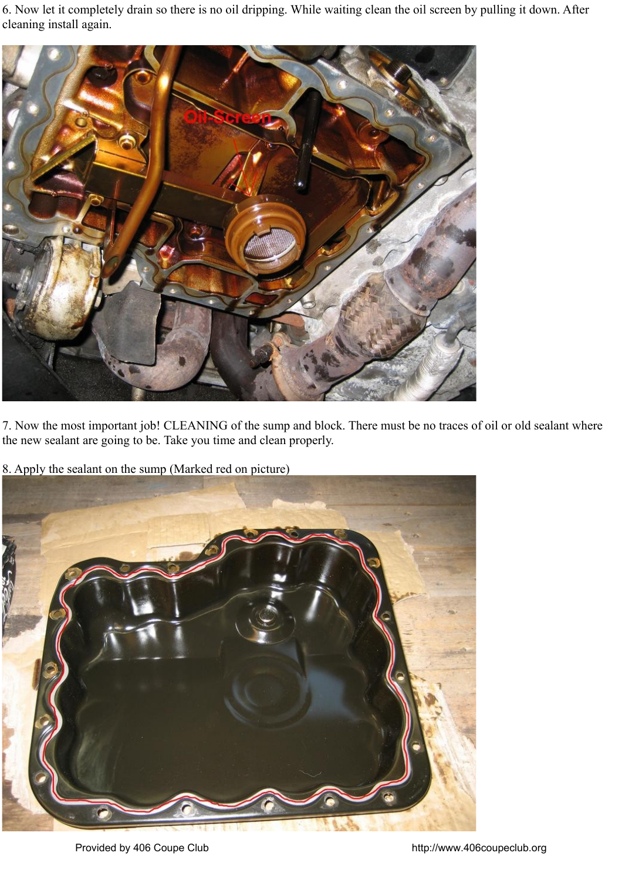6. Now let it completely drain so there is no oil dripping. While waiting clean the oil screen by pulling it down. After cleaning install again.



7. Now the most important job! CLEANING of the sump and block. There must be no traces of oil or old sealant where the new sealant are going to be. Take you time and clean properly.

8. Apply the sealant on the sump (Marked red on picture)